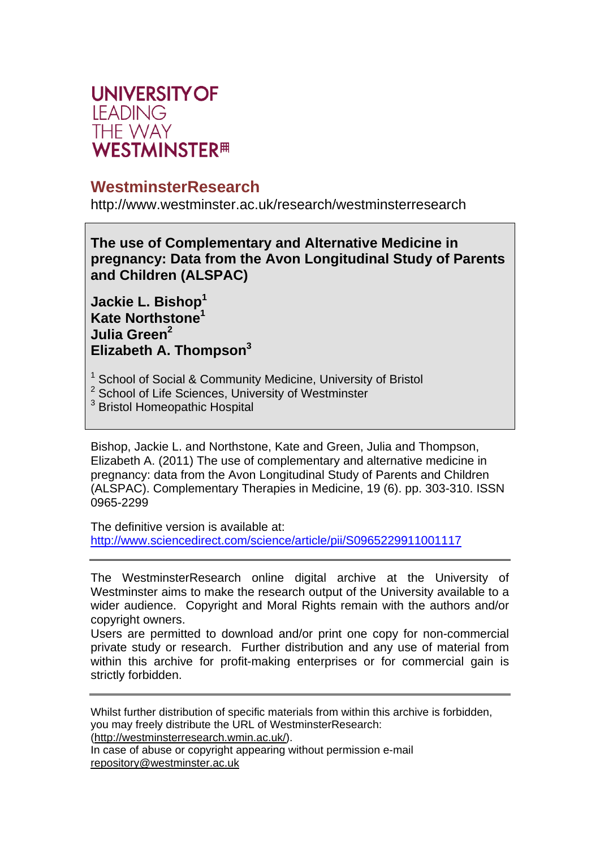

# **WestminsterResearch**

http://www.westminster.ac.uk/research/westminsterresearch

**The use of Complementary and Alternative Medicine in pregnancy: Data from the Avon Longitudinal Study of Parents and Children (ALSPAC)** 

**Jackie L. Bishop<sup>1</sup> Kate Northstone<sup>1</sup> Julia Green2 Elizabeth A. Thompson3**

- <sup>1</sup> School of Social & Community Medicine, University of Bristol
- <sup>2</sup> School of Life Sciences, University of Westminster
- <sup>3</sup> Bristol Homeopathic Hospital

Bishop, Jackie L. and Northstone, Kate and Green, Julia and Thompson, Elizabeth A. (2011) The use of complementary and alternative medicine in pregnancy: data from the Avon Longitudinal Study of Parents and Children (ALSPAC). Complementary Therapies in Medicine, 19 (6). pp. 303-310. ISSN 0965-2299

The definitive version is available at: http://www.sciencedirect.com/science/article/pii/S0965229911001117

The WestminsterResearch online digital archive at the University of Westminster aims to make the research output of the University available to a wider audience. Copyright and Moral Rights remain with the authors and/or copyright owners.

Users are permitted to download and/or print one copy for non-commercial private study or research. Further distribution and any use of material from within this archive for profit-making enterprises or for commercial gain is strictly forbidden.

Whilst further distribution of specific materials from within this archive is forbidden, you may freely distribute the URL of WestminsterResearch: (http://westminsterresearch.wmin.ac.uk/).

In case of abuse or copyright appearing without permission e-mail repository@westminster.ac.uk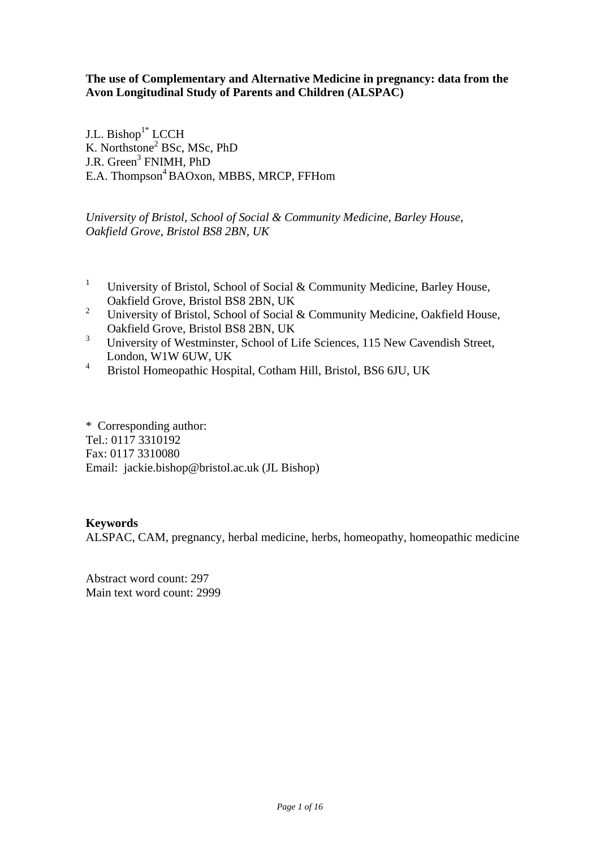**The use of Complementary and Alternative Medicine in pregnancy: data from the Avon Longitudinal Study of Parents and Children (ALSPAC)**

J.L. Bishop $1^*$  LCCH K. Northstone<sup>2</sup> BSc, MSc, PhD J.R. Green<sup>3</sup> FNIMH, PhD E.A. Thompson<sup>4</sup> BAOxon, MBBS, MRCP, FFHom

*University of Bristol, School of Social & Community Medicine, Barley House, Oakfield Grove, Bristol BS8 2BN, UK* 

- <sup>1</sup> University of Bristol, School of Social & Community Medicine, Barley House, Oakfield Grove, Bristol BS8 2BN, UK<br><sup>2</sup> University of Bristol, School of Social
- 2 University of Bristol, School of Social & Community Medicine, Oakfield House, Oakfield Grove, Bristol BS8 2BN, UK<br> $\frac{3}{1}$  University of Westminster, Saboal of I
- 3 University of Westminster, School of Life Sciences, 115 New Cavendish Street, London, W1W 6UW, UK
- 4 Bristol Homeopathic Hospital, Cotham Hill, Bristol, BS6 6JU, UK

\* Corresponding author: Tel.: 0117 3310192 Fax: 0117 3310080 Email: jackie.bishop@bristol.ac.uk (JL Bishop)

### **Keywords**

ALSPAC, CAM, pregnancy, herbal medicine, herbs, homeopathy, homeopathic medicine

Abstract word count: 297 Main text word count: 2999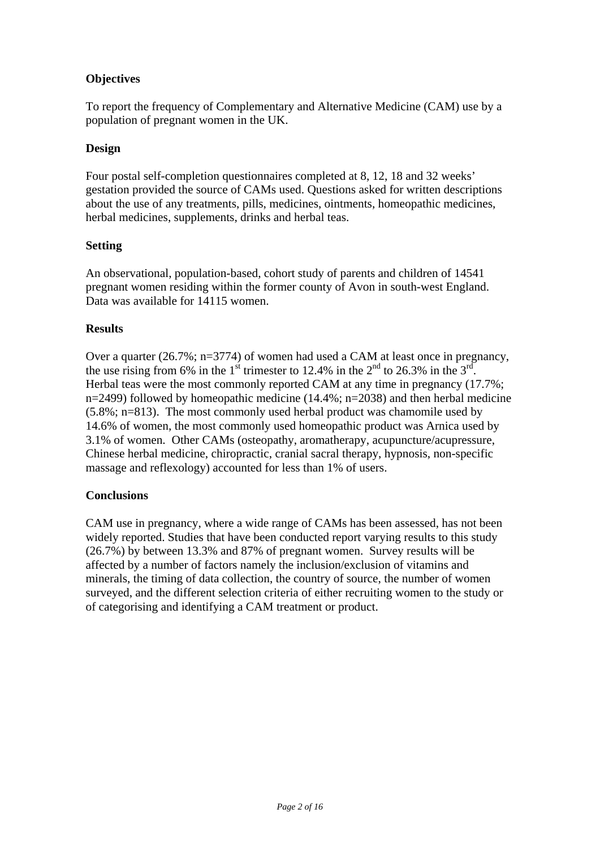# **Objectives**

To report the frequency of Complementary and Alternative Medicine (CAM) use by a population of pregnant women in the UK.

# **Design**

Four postal self-completion questionnaires completed at 8, 12, 18 and 32 weeks' gestation provided the source of CAMs used. Questions asked for written descriptions about the use of any treatments, pills, medicines, ointments, homeopathic medicines, herbal medicines, supplements, drinks and herbal teas.

# **Setting**

An observational, population-based, cohort study of parents and children of 14541 pregnant women residing within the former county of Avon in south-west England. Data was available for 14115 women.

# **Results**

Over a quarter (26.7%; n=3774) of women had used a CAM at least once in pregnancy, the use rising from 6% in the 1<sup>st</sup> trimester to 12.4% in the  $2<sup>nd</sup>$  to 26.3% in the  $3<sup>rd</sup>$ . Herbal teas were the most commonly reported CAM at any time in pregnancy (17.7%;  $n=2499$ ) followed by homeopathic medicine (14.4%;  $n=2038$ ) and then herbal medicine (5.8%; n=813). The most commonly used herbal product was chamomile used by 14.6% of women, the most commonly used homeopathic product was Arnica used by 3.1% of women. Other CAMs (osteopathy, aromatherapy, acupuncture/acupressure, Chinese herbal medicine, chiropractic, cranial sacral therapy, hypnosis, non-specific massage and reflexology) accounted for less than 1% of users.

# **Conclusions**

CAM use in pregnancy, where a wide range of CAMs has been assessed, has not been widely reported. Studies that have been conducted report varying results to this study (26.7%) by between 13.3% and 87% of pregnant women. Survey results will be affected by a number of factors namely the inclusion/exclusion of vitamins and minerals, the timing of data collection, the country of source, the number of women surveyed, and the different selection criteria of either recruiting women to the study or of categorising and identifying a CAM treatment or product.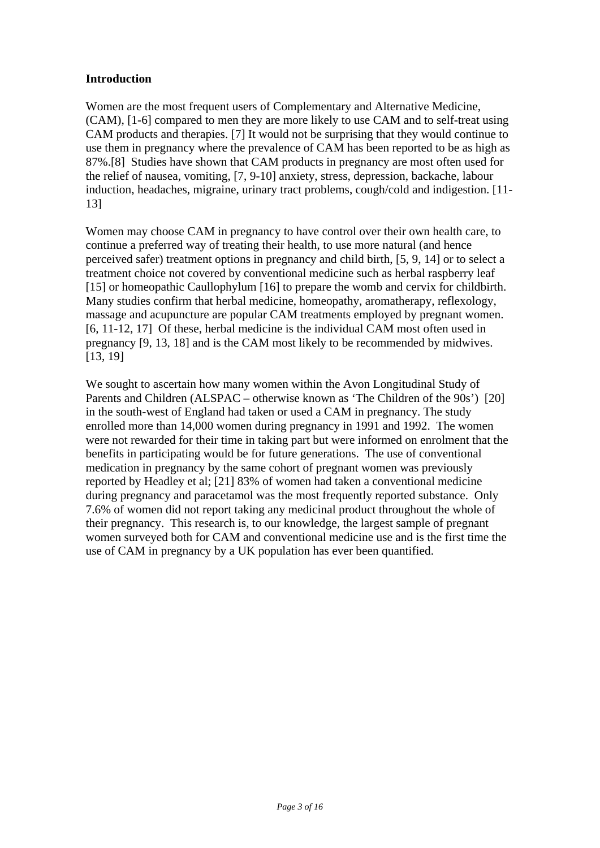# **Introduction**

Women are the most frequent users of Complementary and Alternative Medicine, (CAM), [1-6] compared to men they are more likely to use CAM and to self-treat using CAM products and therapies. [7] It would not be surprising that they would continue to use them in pregnancy where the prevalence of CAM has been reported to be as high as 87%.[8] Studies have shown that CAM products in pregnancy are most often used for the relief of nausea, vomiting, [7, 9-10] anxiety, stress, depression, backache, labour induction, headaches, migraine, urinary tract problems, cough/cold and indigestion. [11- 13]

Women may choose CAM in pregnancy to have control over their own health care, to continue a preferred way of treating their health, to use more natural (and hence perceived safer) treatment options in pregnancy and child birth, [5, 9, 14] or to select a treatment choice not covered by conventional medicine such as herbal raspberry leaf [15] or homeopathic Caullophylum [16] to prepare the womb and cervix for childbirth. Many studies confirm that herbal medicine, homeopathy, aromatherapy, reflexology, massage and acupuncture are popular CAM treatments employed by pregnant women. [6, 11-12, 17] Of these, herbal medicine is the individual CAM most often used in pregnancy [9, 13, 18] and is the CAM most likely to be recommended by midwives. [13, 19]

We sought to ascertain how many women within the Avon Longitudinal Study of Parents and Children (ALSPAC – otherwise known as 'The Children of the 90s') [20] in the south-west of England had taken or used a CAM in pregnancy. The study enrolled more than 14,000 women during pregnancy in 1991 and 1992. The women were not rewarded for their time in taking part but were informed on enrolment that the benefits in participating would be for future generations. The use of conventional medication in pregnancy by the same cohort of pregnant women was previously reported by Headley et al; [21] 83% of women had taken a conventional medicine during pregnancy and paracetamol was the most frequently reported substance. Only 7.6% of women did not report taking any medicinal product throughout the whole of their pregnancy. This research is, to our knowledge, the largest sample of pregnant women surveyed both for CAM and conventional medicine use and is the first time the use of CAM in pregnancy by a UK population has ever been quantified.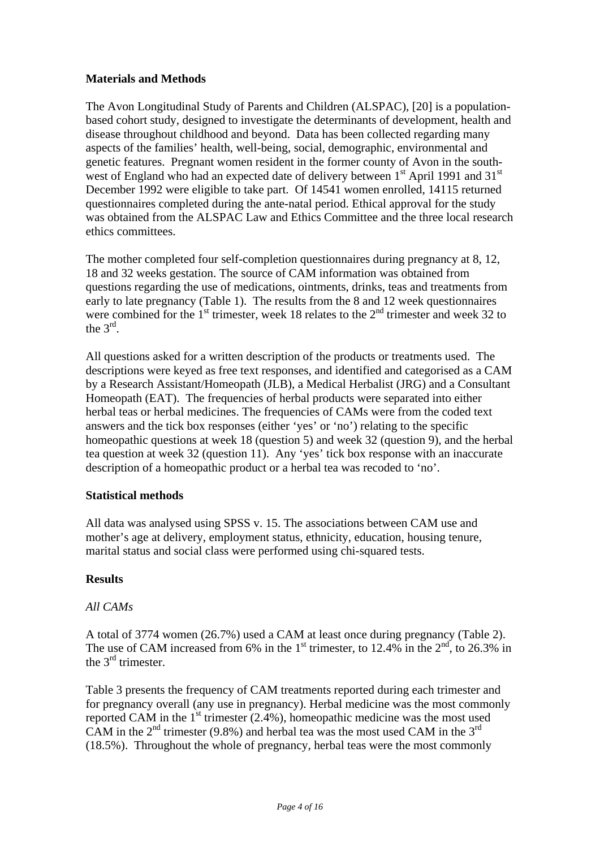# **Materials and Methods**

The Avon Longitudinal Study of Parents and Children (ALSPAC), [20] is a populationbased cohort study, designed to investigate the determinants of development, health and disease throughout childhood and beyond. Data has been collected regarding many aspects of the families' health, well-being, social, demographic, environmental and genetic features. Pregnant women resident in the former county of Avon in the southwest of England who had an expected date of delivery between  $1<sup>st</sup>$  April 1991 and  $31<sup>st</sup>$ December 1992 were eligible to take part. Of 14541 women enrolled, 14115 returned questionnaires completed during the ante-natal period. Ethical approval for the study was obtained from the ALSPAC Law and Ethics Committee and the three local research ethics committees.

The mother completed four self-completion questionnaires during pregnancy at 8, 12, 18 and 32 weeks gestation. The source of CAM information was obtained from questions regarding the use of medications, ointments, drinks, teas and treatments from early to late pregnancy (Table 1). The results from the 8 and 12 week questionnaires were combined for the  $1<sup>st</sup>$  trimester, week 18 relates to the  $2<sup>nd</sup>$  trimester and week 32 to the 3rd.

All questions asked for a written description of the products or treatments used. The descriptions were keyed as free text responses, and identified and categorised as a CAM by a Research Assistant/Homeopath (JLB), a Medical Herbalist (JRG) and a Consultant Homeopath (EAT). The frequencies of herbal products were separated into either herbal teas or herbal medicines. The frequencies of CAMs were from the coded text answers and the tick box responses (either 'yes' or 'no') relating to the specific homeopathic questions at week 18 (question 5) and week 32 (question 9), and the herbal tea question at week 32 (question 11). Any 'yes' tick box response with an inaccurate description of a homeopathic product or a herbal tea was recoded to 'no'.

# **Statistical methods**

All data was analysed using SPSS v. 15. The associations between CAM use and mother's age at delivery, employment status, ethnicity, education, housing tenure, marital status and social class were performed using chi-squared tests.

# **Results**

### *All CAMs*

A total of 3774 women (26.7%) used a CAM at least once during pregnancy (Table 2). The use of CAM increased from 6% in the  $1<sup>st</sup>$  trimester, to 12.4% in the  $2<sup>nd</sup>$ , to 26.3% in the 3<sup>rd</sup> trimester.

Table 3 presents the frequency of CAM treatments reported during each trimester and for pregnancy overall (any use in pregnancy). Herbal medicine was the most commonly reported CAM in the  $1<sup>st</sup>$  trimester (2.4%), homeopathic medicine was the most used CAM in the  $2^{nd}$  trimester (9.8%) and herbal tea was the most used CAM in the  $3^{rd}$ (18.5%). Throughout the whole of pregnancy, herbal teas were the most commonly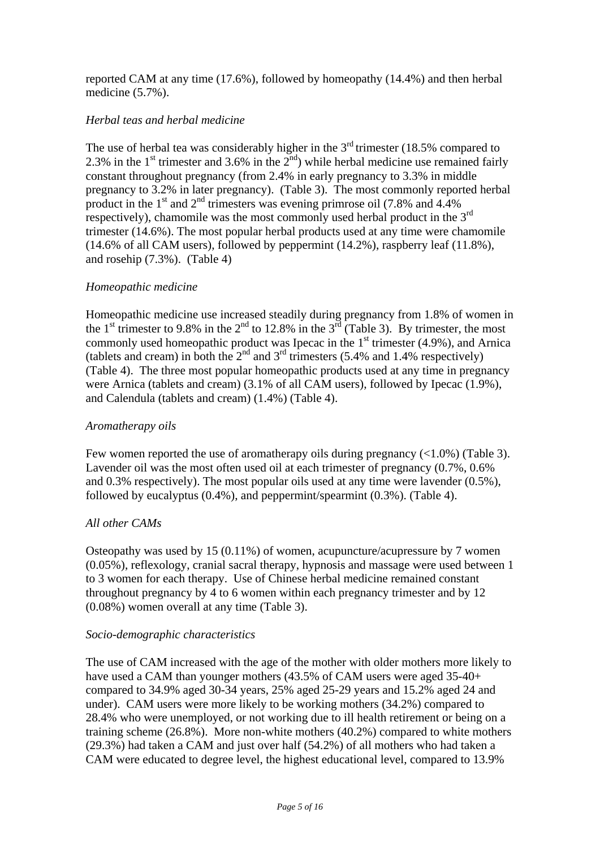reported CAM at any time (17.6%), followed by homeopathy (14.4%) and then herbal medicine (5.7%).

# *Herbal teas and herbal medicine*

The use of herbal tea was considerably higher in the  $3<sup>rd</sup>$  trimester (18.5% compared to 2.3% in the 1<sup>st</sup> trimester and 3.6% in the  $2<sup>nd</sup>$ ) while herbal medicine use remained fairly constant throughout pregnancy (from 2.4% in early pregnancy to 3.3% in middle pregnancy to 3.2% in later pregnancy). (Table 3). The most commonly reported herbal product in the  $1<sup>st</sup>$  and  $2<sup>nd</sup>$  trimesters was evening primrose oil (7.8% and 4.4%) respectively), chamomile was the most commonly used herbal product in the 3<sup>rd</sup> trimester (14.6%). The most popular herbal products used at any time were chamomile (14.6% of all CAM users), followed by peppermint (14.2%), raspberry leaf (11.8%), and rosehip (7.3%). (Table 4)

### *Homeopathic medicine*

Homeopathic medicine use increased steadily during pregnancy from 1.8% of women in the 1<sup>st</sup> trimester to 9.8% in the  $2<sup>nd</sup>$  to 12.8% in the  $3<sup>rd</sup>$  (Table 3). By trimester, the most commonly used homeopathic product was Ipecac in the  $1<sup>st</sup>$  trimester (4.9%), and Arnica (tablets and cream) in both the  $2<sup>nd</sup>$  and  $3<sup>rd</sup>$  trimesters (5.4% and 1.4% respectively) (Table 4). The three most popular homeopathic products used at any time in pregnancy were Arnica (tablets and cream) (3.1% of all CAM users), followed by Ipecac (1.9%), and Calendula (tablets and cream) (1.4%) (Table 4).

### *Aromatherapy oils*

Few women reported the use of aromatherapy oils during pregnancy  $\left($ <1.0%) (Table 3). Lavender oil was the most often used oil at each trimester of pregnancy (0.7%, 0.6% and 0.3% respectively). The most popular oils used at any time were lavender (0.5%), followed by eucalyptus (0.4%), and peppermint/spearmint (0.3%). (Table 4).

### *All other CAMs*

Osteopathy was used by 15 (0.11%) of women, acupuncture/acupressure by 7 women (0.05%), reflexology, cranial sacral therapy, hypnosis and massage were used between 1 to 3 women for each therapy. Use of Chinese herbal medicine remained constant throughout pregnancy by 4 to 6 women within each pregnancy trimester and by 12 (0.08%) women overall at any time (Table 3).

### *Socio-demographic characteristics*

The use of CAM increased with the age of the mother with older mothers more likely to have used a CAM than younger mothers (43.5% of CAM users were aged 35-40+ compared to 34.9% aged 30-34 years, 25% aged 25-29 years and 15.2% aged 24 and under). CAM users were more likely to be working mothers (34.2%) compared to 28.4% who were unemployed, or not working due to ill health retirement or being on a training scheme (26.8%). More non-white mothers (40.2%) compared to white mothers (29.3%) had taken a CAM and just over half (54.2%) of all mothers who had taken a CAM were educated to degree level, the highest educational level, compared to 13.9%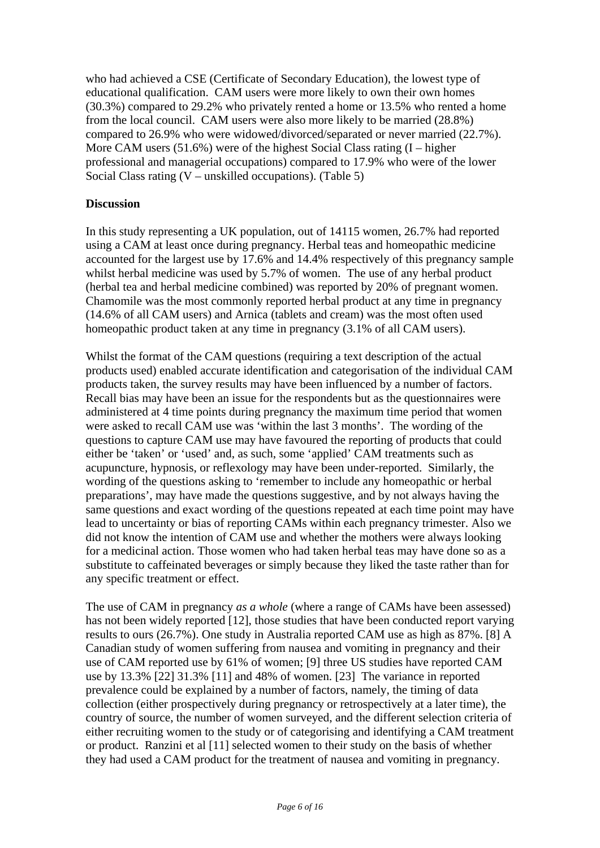who had achieved a CSE (Certificate of Secondary Education), the lowest type of educational qualification. CAM users were more likely to own their own homes (30.3%) compared to 29.2% who privately rented a home or 13.5% who rented a home from the local council. CAM users were also more likely to be married (28.8%) compared to 26.9% who were widowed/divorced/separated or never married (22.7%). More CAM users  $(51.6\%)$  were of the highest Social Class rating  $(I - hig)$ professional and managerial occupations) compared to 17.9% who were of the lower Social Class rating (V – unskilled occupations). (Table 5)

# **Discussion**

In this study representing a UK population, out of 14115 women, 26.7% had reported using a CAM at least once during pregnancy. Herbal teas and homeopathic medicine accounted for the largest use by 17.6% and 14.4% respectively of this pregnancy sample whilst herbal medicine was used by 5.7% of women. The use of any herbal product (herbal tea and herbal medicine combined) was reported by 20% of pregnant women. Chamomile was the most commonly reported herbal product at any time in pregnancy (14.6% of all CAM users) and Arnica (tablets and cream) was the most often used homeopathic product taken at any time in pregnancy (3.1% of all CAM users).

Whilst the format of the CAM questions (requiring a text description of the actual products used) enabled accurate identification and categorisation of the individual CAM products taken, the survey results may have been influenced by a number of factors. Recall bias may have been an issue for the respondents but as the questionnaires were administered at 4 time points during pregnancy the maximum time period that women were asked to recall CAM use was 'within the last 3 months'. The wording of the questions to capture CAM use may have favoured the reporting of products that could either be 'taken' or 'used' and, as such, some 'applied' CAM treatments such as acupuncture, hypnosis, or reflexology may have been under-reported. Similarly, the wording of the questions asking to 'remember to include any homeopathic or herbal preparations', may have made the questions suggestive, and by not always having the same questions and exact wording of the questions repeated at each time point may have lead to uncertainty or bias of reporting CAMs within each pregnancy trimester. Also we did not know the intention of CAM use and whether the mothers were always looking for a medicinal action. Those women who had taken herbal teas may have done so as a substitute to caffeinated beverages or simply because they liked the taste rather than for any specific treatment or effect.

The use of CAM in pregnancy *as a whole* (where a range of CAMs have been assessed) has not been widely reported [12], those studies that have been conducted report varying results to ours (26.7%). One study in Australia reported CAM use as high as 87%. [8] A Canadian study of women suffering from nausea and vomiting in pregnancy and their use of CAM reported use by 61% of women; [9] three US studies have reported CAM use by 13.3% [22] 31.3% [11] and 48% of women. [23] The variance in reported prevalence could be explained by a number of factors, namely, the timing of data collection (either prospectively during pregnancy or retrospectively at a later time), the country of source, the number of women surveyed, and the different selection criteria of either recruiting women to the study or of categorising and identifying a CAM treatment or product. Ranzini et al [11] selected women to their study on the basis of whether they had used a CAM product for the treatment of nausea and vomiting in pregnancy.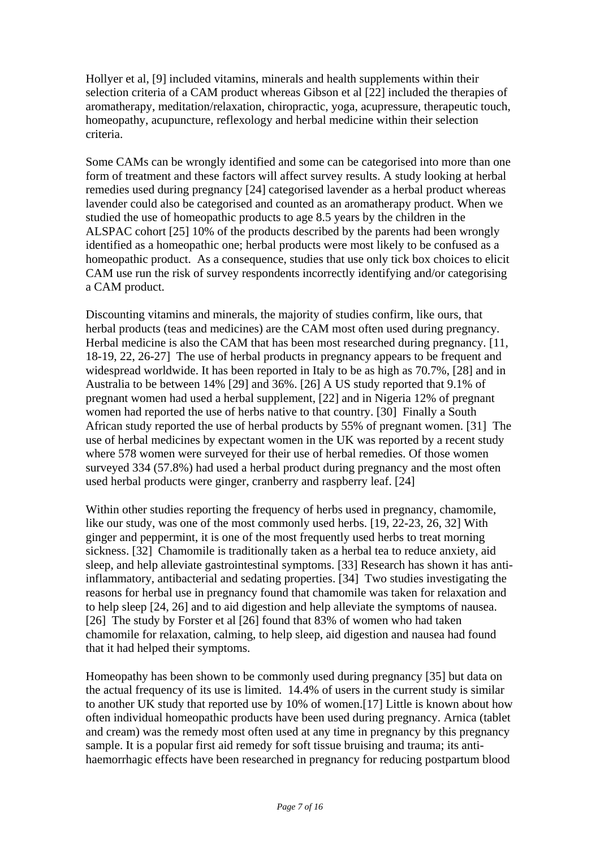Hollyer et al, [9] included vitamins, minerals and health supplements within their selection criteria of a CAM product whereas Gibson et al [22] included the therapies of aromatherapy, meditation/relaxation, chiropractic, yoga, acupressure, therapeutic touch, homeopathy, acupuncture, reflexology and herbal medicine within their selection criteria.

Some CAMs can be wrongly identified and some can be categorised into more than one form of treatment and these factors will affect survey results. A study looking at herbal remedies used during pregnancy [24] categorised lavender as a herbal product whereas lavender could also be categorised and counted as an aromatherapy product. When we studied the use of homeopathic products to age 8.5 years by the children in the ALSPAC cohort [25] 10% of the products described by the parents had been wrongly identified as a homeopathic one; herbal products were most likely to be confused as a homeopathic product. As a consequence, studies that use only tick box choices to elicit CAM use run the risk of survey respondents incorrectly identifying and/or categorising a CAM product.

Discounting vitamins and minerals, the majority of studies confirm, like ours, that herbal products (teas and medicines) are the CAM most often used during pregnancy. Herbal medicine is also the CAM that has been most researched during pregnancy. [11, 18-19, 22, 26-27] The use of herbal products in pregnancy appears to be frequent and widespread worldwide. It has been reported in Italy to be as high as 70.7%, [28] and in Australia to be between 14% [29] and 36%. [26] A US study reported that 9.1% of pregnant women had used a herbal supplement, [22] and in Nigeria 12% of pregnant women had reported the use of herbs native to that country. [30] Finally a South African study reported the use of herbal products by 55% of pregnant women. [31] The use of herbal medicines by expectant women in the UK was reported by a recent study where 578 women were surveyed for their use of herbal remedies. Of those women surveyed 334 (57.8%) had used a herbal product during pregnancy and the most often used herbal products were ginger, cranberry and raspberry leaf. [24]

Within other studies reporting the frequency of herbs used in pregnancy, chamomile, like our study, was one of the most commonly used herbs. [19, 22-23, 26, 32] With ginger and peppermint, it is one of the most frequently used herbs to treat morning sickness. [32] Chamomile is traditionally taken as a herbal tea to reduce anxiety, aid sleep, and help alleviate gastrointestinal symptoms. [33] Research has shown it has antiinflammatory, antibacterial and sedating properties. [34] Two studies investigating the reasons for herbal use in pregnancy found that chamomile was taken for relaxation and to help sleep [24, 26] and to aid digestion and help alleviate the symptoms of nausea. [26] The study by Forster et al [26] found that 83% of women who had taken chamomile for relaxation, calming, to help sleep, aid digestion and nausea had found that it had helped their symptoms.

Homeopathy has been shown to be commonly used during pregnancy [35] but data on the actual frequency of its use is limited. 14.4% of users in the current study is similar to another UK study that reported use by 10% of women.[17] Little is known about how often individual homeopathic products have been used during pregnancy. Arnica (tablet and cream) was the remedy most often used at any time in pregnancy by this pregnancy sample. It is a popular first aid remedy for soft tissue bruising and trauma; its antihaemorrhagic effects have been researched in pregnancy for reducing postpartum blood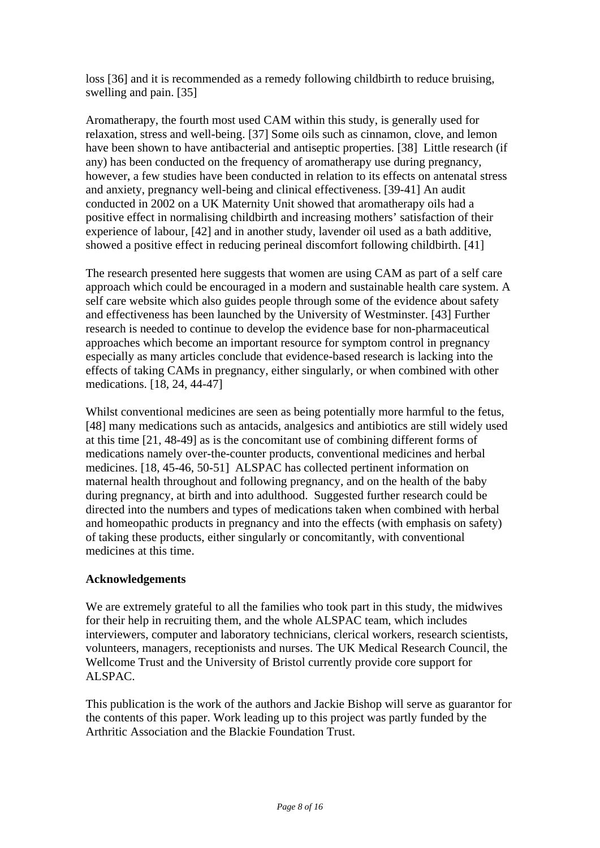loss [36] and it is recommended as a remedy following childbirth to reduce bruising, swelling and pain. [35]

Aromatherapy, the fourth most used CAM within this study, is generally used for relaxation, stress and well-being. [37] Some oils such as cinnamon, clove, and lemon have been shown to have antibacterial and antiseptic properties. [38] Little research (if any) has been conducted on the frequency of aromatherapy use during pregnancy, however, a few studies have been conducted in relation to its effects on antenatal stress and anxiety, pregnancy well-being and clinical effectiveness. [39-41] An audit conducted in 2002 on a UK Maternity Unit showed that aromatherapy oils had a positive effect in normalising childbirth and increasing mothers' satisfaction of their experience of labour, [42] and in another study, lavender oil used as a bath additive, showed a positive effect in reducing perineal discomfort following childbirth. [41]

The research presented here suggests that women are using CAM as part of a self care approach which could be encouraged in a modern and sustainable health care system. A self care website which also guides people through some of the evidence about safety and effectiveness has been launched by the University of Westminster. [43] Further research is needed to continue to develop the evidence base for non-pharmaceutical approaches which become an important resource for symptom control in pregnancy especially as many articles conclude that evidence-based research is lacking into the effects of taking CAMs in pregnancy, either singularly, or when combined with other medications. [18, 24, 44-47]

Whilst conventional medicines are seen as being potentially more harmful to the fetus, [48] many medications such as antacids, analgesics and antibiotics are still widely used at this time [21, 48-49] as is the concomitant use of combining different forms of medications namely over-the-counter products, conventional medicines and herbal medicines. [18, 45-46, 50-51] ALSPAC has collected pertinent information on maternal health throughout and following pregnancy, and on the health of the baby during pregnancy, at birth and into adulthood. Suggested further research could be directed into the numbers and types of medications taken when combined with herbal and homeopathic products in pregnancy and into the effects (with emphasis on safety) of taking these products, either singularly or concomitantly, with conventional medicines at this time.

# **Acknowledgements**

We are extremely grateful to all the families who took part in this study, the midwives for their help in recruiting them, and the whole ALSPAC team, which includes interviewers, computer and laboratory technicians, clerical workers, research scientists, volunteers, managers, receptionists and nurses. The UK Medical Research Council, the Wellcome Trust and the University of Bristol currently provide core support for ALSPAC.

This publication is the work of the authors and Jackie Bishop will serve as guarantor for the contents of this paper. Work leading up to this project was partly funded by the Arthritic Association and the Blackie Foundation Trust.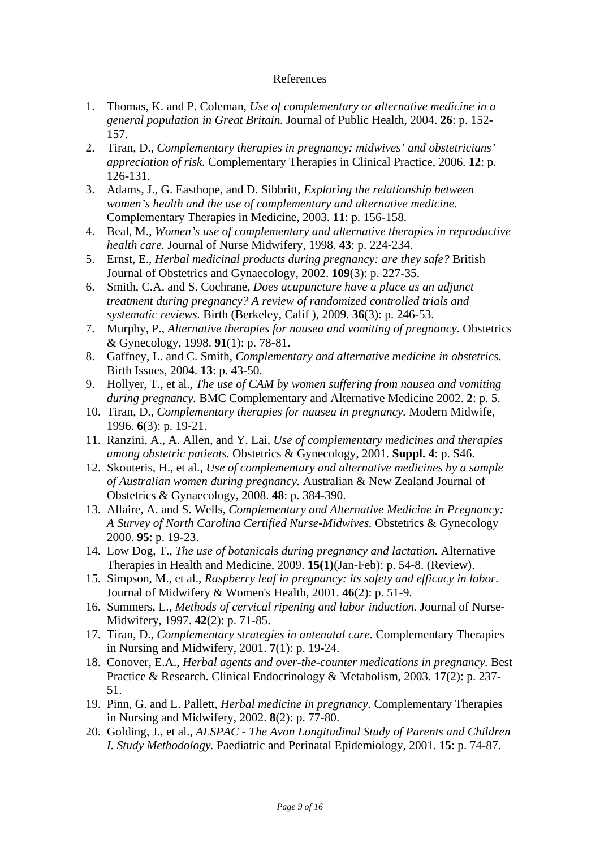### References

- 1. Thomas, K. and P. Coleman, *Use of complementary or alternative medicine in a general population in Great Britain.* Journal of Public Health, 2004. **26**: p. 152- 157.
- 2. Tiran, D., *Complementary therapies in pregnancy: midwives' and obstetricians' appreciation of risk.* Complementary Therapies in Clinical Practice, 2006. **12**: p. 126-131.
- 3. Adams, J., G. Easthope, and D. Sibbritt, *Exploring the relationship between women's health and the use of complementary and alternative medicine.* Complementary Therapies in Medicine, 2003. **11**: p. 156-158.
- 4. Beal, M., *Women's use of complementary and alternative therapies in reproductive health care.* Journal of Nurse Midwifery, 1998. **43**: p. 224-234.
- 5. Ernst, E., *Herbal medicinal products during pregnancy: are they safe?* British Journal of Obstetrics and Gynaecology, 2002. **109**(3): p. 227-35.
- 6. Smith, C.A. and S. Cochrane, *Does acupuncture have a place as an adjunct treatment during pregnancy? A review of randomized controlled trials and systematic reviews.* Birth (Berkeley, Calif ), 2009. **36**(3): p. 246-53.
- 7. Murphy, P., *Alternative therapies for nausea and vomiting of pregnancy.* Obstetrics & Gynecology, 1998. **91**(1): p. 78-81.
- 8. Gaffney, L. and C. Smith, *Complementary and alternative medicine in obstetrics.* Birth Issues, 2004. **13**: p. 43-50.
- 9. Hollyer, T., et al., *The use of CAM by women suffering from nausea and vomiting during pregnancy.* BMC Complementary and Alternative Medicine 2002. **2**: p. 5.
- 10. Tiran, D., *Complementary therapies for nausea in pregnancy.* Modern Midwife, 1996. **6**(3): p. 19-21.
- 11. Ranzini, A., A. Allen, and Y. Lai, *Use of complementary medicines and therapies among obstetric patients.* Obstetrics & Gynecology, 2001. **Suppl. 4**: p. S46.
- 12. Skouteris, H., et al., *Use of complementary and alternative medicines by a sample of Australian women during pregnancy.* Australian & New Zealand Journal of Obstetrics & Gynaecology, 2008. **48**: p. 384-390.
- 13. Allaire, A. and S. Wells, *Complementary and Alternative Medicine in Pregnancy: A Survey of North Carolina Certified Nurse-Midwives.* Obstetrics & Gynecology 2000. **95**: p. 19-23.
- 14. Low Dog, T., *The use of botanicals during pregnancy and lactation.* Alternative Therapies in Health and Medicine, 2009. **15(1)**(Jan-Feb): p. 54-8. (Review).
- 15. Simpson, M., et al., *Raspberry leaf in pregnancy: its safety and efficacy in labor.* Journal of Midwifery & Women's Health, 2001. **46**(2): p. 51-9.
- 16. Summers, L., *Methods of cervical ripening and labor induction.* Journal of Nurse-Midwifery, 1997. **42**(2): p. 71-85.
- 17. Tiran, D., *Complementary strategies in antenatal care.* Complementary Therapies in Nursing and Midwifery, 2001. **7**(1): p. 19-24.
- 18. Conover, E.A., *Herbal agents and over-the-counter medications in pregnancy.* Best Practice & Research. Clinical Endocrinology & Metabolism, 2003. **17**(2): p. 237- 51.
- 19. Pinn, G. and L. Pallett, *Herbal medicine in pregnancy.* Complementary Therapies in Nursing and Midwifery, 2002. **8**(2): p. 77-80.
- 20. Golding, J., et al., *ALSPAC The Avon Longitudinal Study of Parents and Children I. Study Methodology.* Paediatric and Perinatal Epidemiology, 2001. **15**: p. 74-87.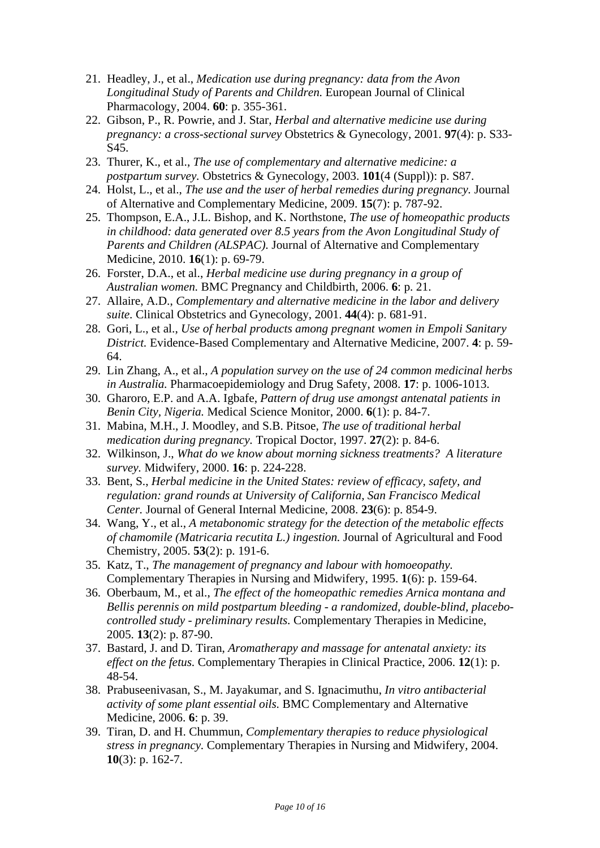- 21. Headley, J., et al., *Medication use during pregnancy: data from the Avon Longitudinal Study of Parents and Children.* European Journal of Clinical Pharmacology, 2004. **60**: p. 355-361.
- 22. Gibson, P., R. Powrie, and J. Star, *Herbal and alternative medicine use during pregnancy: a cross-sectional survey* Obstetrics & Gynecology, 2001. **97**(4): p. S33- S45.
- 23. Thurer, K., et al., *The use of complementary and alternative medicine: a postpartum survey.* Obstetrics & Gynecology, 2003. **101**(4 (Suppl)): p. S87.
- 24. Holst, L., et al., *The use and the user of herbal remedies during pregnancy.* Journal of Alternative and Complementary Medicine, 2009. **15**(7): p. 787-92.
- 25. Thompson, E.A., J.L. Bishop, and K. Northstone, *The use of homeopathic products in childhood: data generated over 8.5 years from the Avon Longitudinal Study of Parents and Children (ALSPAC).* Journal of Alternative and Complementary Medicine, 2010. **16**(1): p. 69-79.
- 26. Forster, D.A., et al., *Herbal medicine use during pregnancy in a group of Australian women.* BMC Pregnancy and Childbirth, 2006. **6**: p. 21.
- 27. Allaire, A.D., *Complementary and alternative medicine in the labor and delivery suite.* Clinical Obstetrics and Gynecology, 2001. **44**(4): p. 681-91.
- 28. Gori, L., et al., *Use of herbal products among pregnant women in Empoli Sanitary District.* Evidence-Based Complementary and Alternative Medicine, 2007. **4**: p. 59- 64.
- 29. Lin Zhang, A., et al., *A population survey on the use of 24 common medicinal herbs in Australia.* Pharmacoepidemiology and Drug Safety, 2008. **17**: p. 1006-1013.
- 30. Gharoro, E.P. and A.A. Igbafe, *Pattern of drug use amongst antenatal patients in Benin City, Nigeria.* Medical Science Monitor, 2000. **6**(1): p. 84-7.
- 31. Mabina, M.H., J. Moodley, and S.B. Pitsoe, *The use of traditional herbal medication during pregnancy.* Tropical Doctor, 1997. **27**(2): p. 84-6.
- 32. Wilkinson, J., *What do we know about morning sickness treatments? A literature survey.* Midwifery, 2000. **16**: p. 224-228.
- 33. Bent, S., *Herbal medicine in the United States: review of efficacy, safety, and regulation: grand rounds at University of California, San Francisco Medical Center.* Journal of General Internal Medicine, 2008. **23**(6): p. 854-9.
- 34. Wang, Y., et al., *A metabonomic strategy for the detection of the metabolic effects of chamomile (Matricaria recutita L.) ingestion.* Journal of Agricultural and Food Chemistry, 2005. **53**(2): p. 191-6.
- 35. Katz, T., *The management of pregnancy and labour with homoeopathy.* Complementary Therapies in Nursing and Midwifery, 1995. **1**(6): p. 159-64.
- 36. Oberbaum, M., et al., *The effect of the homeopathic remedies Arnica montana and Bellis perennis on mild postpartum bleeding - a randomized, double-blind, placebocontrolled study - preliminary results.* Complementary Therapies in Medicine, 2005. **13**(2): p. 87-90.
- 37. Bastard, J. and D. Tiran, *Aromatherapy and massage for antenatal anxiety: its effect on the fetus.* Complementary Therapies in Clinical Practice, 2006. **12**(1): p. 48-54.
- 38. Prabuseenivasan, S., M. Jayakumar, and S. Ignacimuthu, *In vitro antibacterial activity of some plant essential oils.* BMC Complementary and Alternative Medicine, 2006. **6**: p. 39.
- 39. Tiran, D. and H. Chummun, *Complementary therapies to reduce physiological stress in pregnancy.* Complementary Therapies in Nursing and Midwifery, 2004. **10**(3): p. 162-7.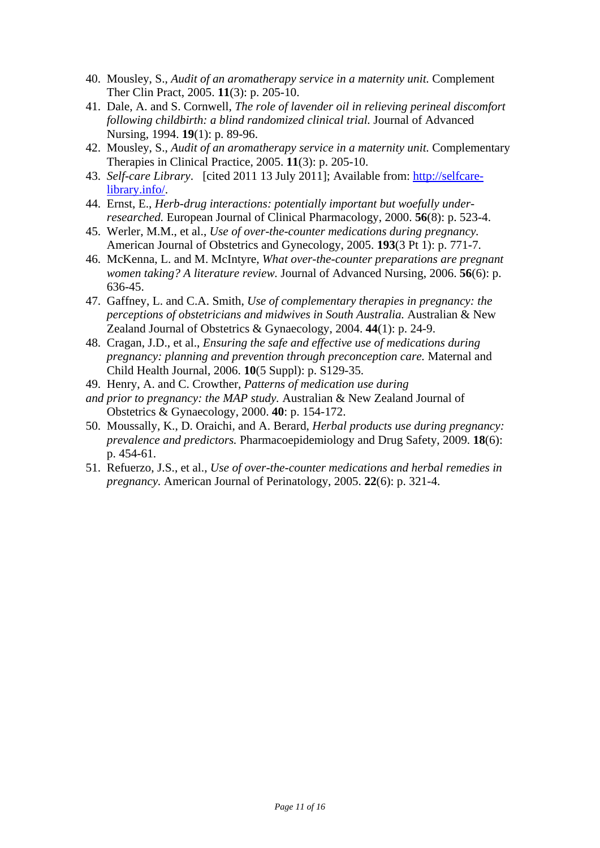- 40. Mousley, S., *Audit of an aromatherapy service in a maternity unit.* Complement Ther Clin Pract, 2005. **11**(3): p. 205-10.
- 41. Dale, A. and S. Cornwell, *The role of lavender oil in relieving perineal discomfort following childbirth: a blind randomized clinical trial.* Journal of Advanced Nursing, 1994. **19**(1): p. 89-96.
- 42. Mousley, S., *Audit of an aromatherapy service in a maternity unit.* Complementary Therapies in Clinical Practice, 2005. **11**(3): p. 205-10.
- 43. *Self-care Library*. [cited 2011 13 July 2011]; Available from: http://selfcarelibrary.info/.
- 44. Ernst, E., *Herb-drug interactions: potentially important but woefully underresearched.* European Journal of Clinical Pharmacology, 2000. **56**(8): p. 523-4.
- 45. Werler, M.M., et al., *Use of over-the-counter medications during pregnancy.* American Journal of Obstetrics and Gynecology, 2005. **193**(3 Pt 1): p. 771-7.
- 46. McKenna, L. and M. McIntyre, *What over-the-counter preparations are pregnant women taking? A literature review.* Journal of Advanced Nursing, 2006. **56**(6): p. 636-45.
- 47. Gaffney, L. and C.A. Smith, *Use of complementary therapies in pregnancy: the perceptions of obstetricians and midwives in South Australia.* Australian & New Zealand Journal of Obstetrics & Gynaecology, 2004. **44**(1): p. 24-9.
- 48. Cragan, J.D., et al., *Ensuring the safe and effective use of medications during pregnancy: planning and prevention through preconception care.* Maternal and Child Health Journal, 2006. **10**(5 Suppl): p. S129-35.
- 49. Henry, A. and C. Crowther, *Patterns of medication use during*
- *and prior to pregnancy: the MAP study.* Australian & New Zealand Journal of Obstetrics & Gynaecology, 2000. **40**: p. 154-172.
- 50. Moussally, K., D. Oraichi, and A. Berard, *Herbal products use during pregnancy: prevalence and predictors.* Pharmacoepidemiology and Drug Safety, 2009. **18**(6): p. 454-61.
- 51. Refuerzo, J.S., et al., *Use of over-the-counter medications and herbal remedies in pregnancy.* American Journal of Perinatology, 2005. **22**(6): p. 321-4.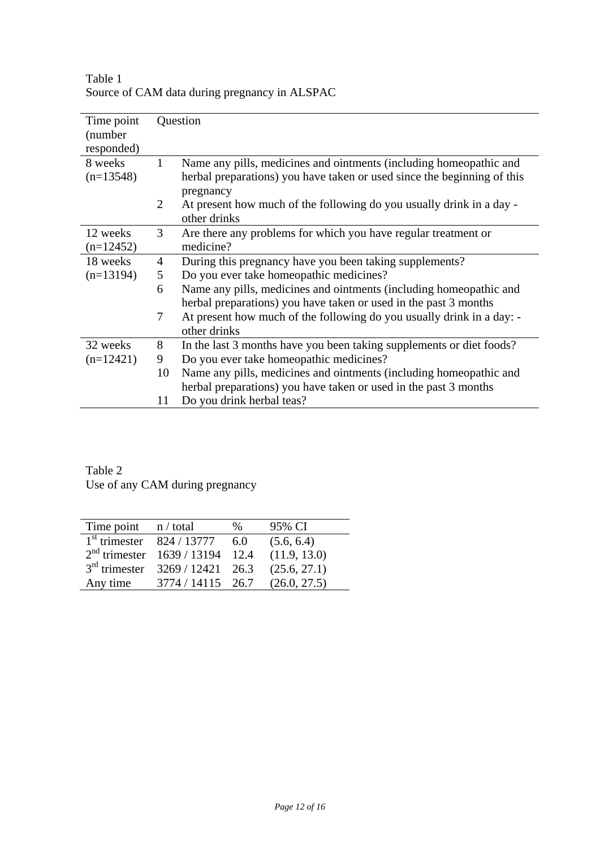| Time point<br>(number)<br>responded) |                | Question                                                                |
|--------------------------------------|----------------|-------------------------------------------------------------------------|
| 8 weeks                              | $\mathbf{1}$   | Name any pills, medicines and ointments (including homeopathic and      |
| $(n=13548)$                          |                | herbal preparations) you have taken or used since the beginning of this |
|                                      |                | pregnancy                                                               |
|                                      | $\overline{2}$ | At present how much of the following do you usually drink in a day -    |
|                                      |                | other drinks                                                            |
| 12 weeks                             | 3              | Are there any problems for which you have regular treatment or          |
| $(n=12452)$                          |                | medicine?                                                               |
| 18 weeks                             | $\overline{4}$ | During this pregnancy have you been taking supplements?                 |
| $(n=13194)$                          | 5              | Do you ever take homeopathic medicines?                                 |
|                                      | 6              | Name any pills, medicines and ointments (including homeopathic and      |
|                                      |                | herbal preparations) you have taken or used in the past 3 months        |
|                                      | 7              | At present how much of the following do you usually drink in a day: -   |
|                                      |                | other drinks                                                            |
| 32 weeks                             | 8              | In the last 3 months have you been taking supplements or diet foods?    |
| $(n=12421)$                          | 9              | Do you ever take homeopathic medicines?                                 |
|                                      | 10             | Name any pills, medicines and ointments (including homeopathic and      |
|                                      |                | herbal preparations) you have taken or used in the past 3 months        |
|                                      | 11             | Do you drink herbal teas?                                               |

Table 1 Source of CAM data during pregnancy in ALSPAC

Table 2 Use of any CAM during pregnancy

| Time point $n / total$      |                                     | $\frac{0}{0}$ | 95% CI       |
|-----------------------------|-------------------------------------|---------------|--------------|
| $1st$ trimester 824 / 13777 |                                     | 6.0           | (5.6, 6.4)   |
|                             | $2nd$ trimester $1639 / 13194$ 12.4 |               | (11.9, 13.0) |
|                             | $3rd$ trimester $3269 / 12421$ 26.3 |               | (25.6, 27.1) |
| Any time                    | 3774 / 14115 26.7                   |               | (26.0, 27.5) |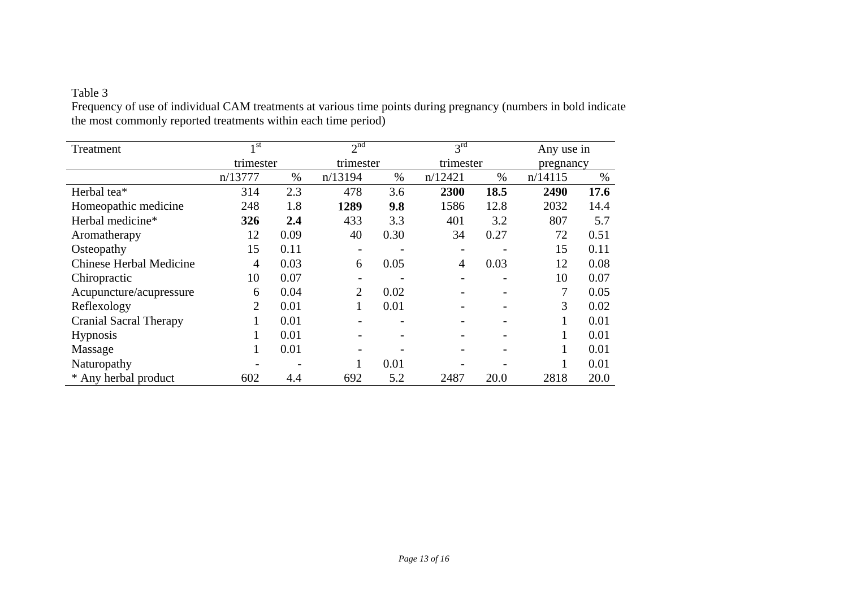### Table 3

Frequency of use of individual CAM treatments at various time points during pregnancy (numbers in bold indicate the most commonly reported treatments within each time period)

| Treatment                      | 1 <sub>st</sub> |      | $2^{\overline{nd}}$ |      | $3^{rd}$  |      | Any use in |      |
|--------------------------------|-----------------|------|---------------------|------|-----------|------|------------|------|
|                                | trimester       |      | trimester           |      | trimester |      | pregnancy  |      |
|                                | n/13777         | $\%$ | n/13194             | $\%$ | n/12421   | $\%$ | n/14115    | $\%$ |
| Herbal tea*                    | 314             | 2.3  | 478                 | 3.6  | 2300      | 18.5 | 2490       | 17.6 |
| Homeopathic medicine           | 248             | 1.8  | 1289                | 9.8  | 1586      | 12.8 | 2032       | 14.4 |
| Herbal medicine*               | 326             | 2.4  | 433                 | 3.3  | 401       | 3.2  | 807        | 5.7  |
| Aromatherapy                   | 12              | 0.09 | 40                  | 0.30 | 34        | 0.27 | 72         | 0.51 |
| Osteopathy                     | 15              | 0.11 |                     |      |           |      | 15         | 0.11 |
| <b>Chinese Herbal Medicine</b> | $\overline{4}$  | 0.03 | 6                   | 0.05 | 4         | 0.03 | 12         | 0.08 |
| Chiropractic                   | 10              | 0.07 |                     |      |           |      | 10         | 0.07 |
| Acupuncture/acupressure        | 6               | 0.04 | $\overline{2}$      | 0.02 |           |      | 7          | 0.05 |
| Reflexology                    | 2               | 0.01 | 1                   | 0.01 |           |      | 3          | 0.02 |
| <b>Cranial Sacral Therapy</b>  |                 | 0.01 |                     |      |           |      |            | 0.01 |
| <b>Hypnosis</b>                |                 | 0.01 |                     |      |           |      |            | 0.01 |
| Massage                        |                 | 0.01 |                     |      |           |      |            | 0.01 |
| Naturopathy                    |                 |      |                     | 0.01 |           |      |            | 0.01 |
| * Any herbal product           | 602             | 4.4  | 692                 | 5.2  | 2487      | 20.0 | 2818       | 20.0 |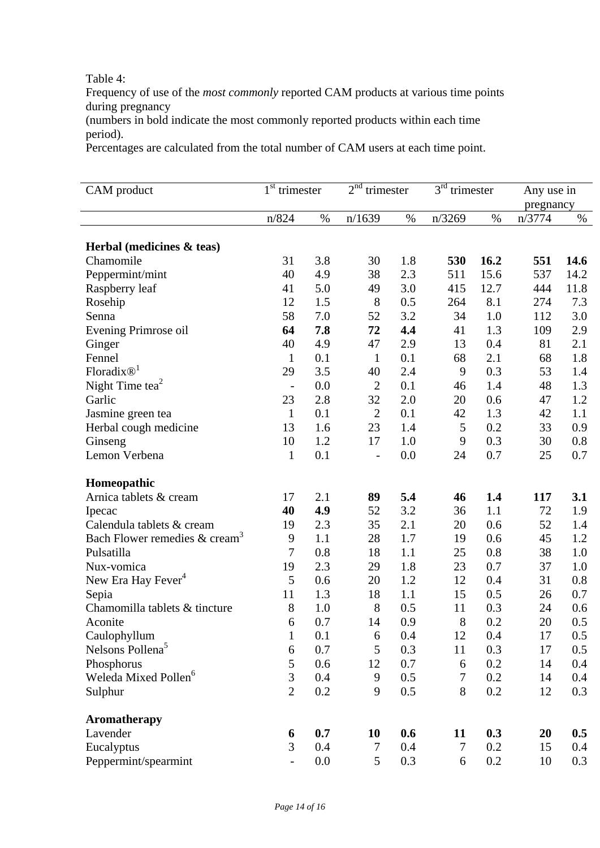### Table 4:

Frequency of use of the *most commonly* reported CAM products at various time points during pregnancy

(numbers in bold indicate the most commonly reported products within each time period).

Percentages are calculated from the total number of CAM users at each time point.

| CAM product                                 | 1 <sup>st</sup><br>trimester |      | 2 <sup>nd</sup><br>trimester |      | 3 <sup>rd</sup><br>trimester |      | Any use in<br>pregnancy |      |
|---------------------------------------------|------------------------------|------|------------------------------|------|------------------------------|------|-------------------------|------|
|                                             | n/824                        | $\%$ | n/1639                       | $\%$ | n/3269                       | $\%$ | n/3774                  | $\%$ |
| Herbal (medicines $\&$ teas)                |                              |      |                              |      |                              |      |                         |      |
| Chamomile                                   | 31                           | 3.8  | 30                           | 1.8  | 530                          | 16.2 | 551                     | 14.6 |
| Peppermint/mint                             | 40                           | 4.9  | 38                           | 2.3  | 511                          | 15.6 | 537                     | 14.2 |
| Raspberry leaf                              | 41                           | 5.0  | 49                           | 3.0  | 415                          | 12.7 | 444                     | 11.8 |
| Rosehip                                     | 12                           | 1.5  | 8                            | 0.5  | 264                          | 8.1  | 274                     | 7.3  |
| Senna                                       | 58                           | 7.0  | 52                           | 3.2  | 34                           | 1.0  | 112                     | 3.0  |
| Evening Primrose oil                        | 64                           | 7.8  | 72                           | 4.4  | 41                           | 1.3  | 109                     | 2.9  |
| Ginger                                      | 40                           | 4.9  | 47                           | 2.9  | 13                           | 0.4  | 81                      | 2.1  |
| Fennel                                      | $\mathbf{1}$                 | 0.1  | $\mathbf{1}$                 | 0.1  | 68                           | 2.1  | 68                      | 1.8  |
| Floradix $\mathbb{D}^1$                     | 29                           | 3.5  | 40                           | 2.4  | 9                            | 0.3  | 53                      | 1.4  |
| Night Time tea $2$                          | $\overline{a}$               | 0.0  | $\overline{2}$               | 0.1  | 46                           | 1.4  | 48                      | 1.3  |
| Garlic                                      | 23                           | 2.8  | 32                           | 2.0  | 20                           | 0.6  | 47                      | 1.2  |
| Jasmine green tea                           | $\mathbf{1}$                 | 0.1  | $\overline{2}$               | 0.1  | 42                           | 1.3  | 42                      | 1.1  |
| Herbal cough medicine                       | 13                           | 1.6  | 23                           | 1.4  | 5                            | 0.2  | 33                      | 0.9  |
| Ginseng                                     | 10                           | 1.2  | 17                           | 1.0  | 9                            | 0.3  | 30                      | 0.8  |
| Lemon Verbena                               | $\mathbf{1}$                 | 0.1  | $\overline{a}$               | 0.0  | 24                           | 0.7  | 25                      | 0.7  |
| Homeopathic                                 |                              |      |                              |      |                              |      |                         |      |
| Arnica tablets & cream                      | 17                           | 2.1  | 89                           | 5.4  | 46                           | 1.4  | 117                     | 3.1  |
| Ipecac                                      | 40                           | 4.9  | 52                           | 3.2  | 36                           | 1.1  | 72                      | 1.9  |
| Calendula tablets & cream                   | 19                           | 2.3  | 35                           | 2.1  | 20                           | 0.6  | 52                      | 1.4  |
| Bach Flower remedies $&$ cream <sup>3</sup> | 9                            | 1.1  | 28                           | 1.7  | 19                           | 0.6  | 45                      | 1.2  |
| Pulsatilla                                  | 7                            | 0.8  | 18                           | 1.1  | 25                           | 0.8  | 38                      | 1.0  |
| Nux-vomica                                  | 19                           | 2.3  | 29                           | 1.8  | 23                           | 0.7  | 37                      | 1.0  |
| New Era Hay Fever <sup>4</sup>              | 5                            | 0.6  | 20                           | 1.2  | 12                           | 0.4  | 31                      | 0.8  |
| Sepia                                       | 11                           | 1.3  | 18                           | 1.1  | 15                           | 0.5  | 26                      | 0.7  |
| Chamomilla tablets & tincture               | 8                            | 1.0  | 8                            | 0.5  | 11                           | 0.3  | 24                      | 0.6  |
| Aconite                                     | 6                            | 0.7  | 14                           | 0.9  | 8                            | 0.2  | 20                      | 0.5  |
| Caulophyllum                                | $\mathbf{1}$                 | 0.1  | 6                            | 0.4  | 12                           | 0.4  | 17                      | 0.5  |
| Nelsons Pollena <sup>5</sup>                | 6                            | 0.7  | 5                            | 0.3  | 11                           | 0.3  | 17                      | 0.5  |
| Phosphorus                                  | 5                            | 0.6  | 12                           | 0.7  | 6                            | 0.2  | 14                      | 0.4  |
| Weleda Mixed Pollen <sup>6</sup>            | 3                            | 0.4  | 9                            | 0.5  | $\overline{7}$               | 0.2  | 14                      | 0.4  |
| Sulphur                                     | $\overline{2}$               | 0.2  | 9                            | 0.5  | 8                            | 0.2  | 12                      | 0.3  |
| <b>Aromatherapy</b>                         |                              |      |                              |      |                              |      |                         |      |
| Lavender                                    | 6                            | 0.7  | 10                           | 0.6  | 11                           | 0.3  | 20                      | 0.5  |
| Eucalyptus                                  | 3                            | 0.4  | $\tau$                       | 0.4  | 7                            | 0.2  | 15                      | 0.4  |
| Peppermint/spearmint                        | $\overline{\phantom{a}}$     | 0.0  | 5                            | 0.3  | 6                            | 0.2  | 10                      | 0.3  |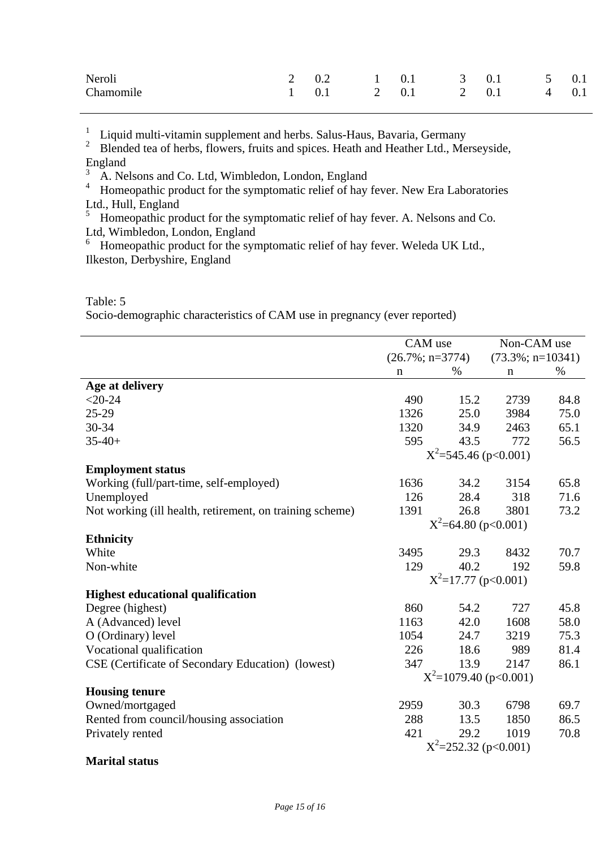| Neroli    | 2 0.2 1 0.1 3 0.1 5 0.1                                             |  |  |  |
|-----------|---------------------------------------------------------------------|--|--|--|
| Chamomile | $1 \quad 0.1 \quad 2 \quad 0.1 \quad 2 \quad 0.1 \quad 4 \quad 0.1$ |  |  |  |

1 Liquid multi-vitamin supplement and herbs. Salus-Haus, Bavaria, Germany

2 Blended tea of herbs, flowers, fruits and spices. Heath and Heather Ltd., Merseyside, England

3 A. Nelsons and Co. Ltd, Wimbledon, London, England

4 Homeopathic product for the symptomatic relief of hay fever. New Era Laboratories Ltd., Hull, England

5 Homeopathic product for the symptomatic relief of hay fever. A. Nelsons and Co. Ltd, Wimbledon, London, England

Homeopathic product for the symptomatic relief of hay fever. Weleda UK Ltd., Ilkeston, Derbyshire, England

### Table: 5

Socio-demographic characteristics of CAM use in pregnancy (ever reported)

|                                                          | CAM use                  |                        | Non-CAM use              |      |
|----------------------------------------------------------|--------------------------|------------------------|--------------------------|------|
|                                                          | $(26.7\%; n=3774)$       |                        | $(73.3\%; n=10341)$      |      |
|                                                          | $\mathbf n$              | $\%$                   | $\mathbf n$              | $\%$ |
| Age at delivery                                          |                          |                        |                          |      |
| $< 20 - 24$                                              | 490                      | 15.2                   | 2739                     | 84.8 |
| $25-29$                                                  | 1326                     | 25.0                   | 3984                     | 75.0 |
| 30-34                                                    | 1320                     | 34.9                   | 2463                     | 65.1 |
| $35 - 40 +$                                              | 595                      | 43.5                   | 772                      | 56.5 |
|                                                          |                          |                        | $X^2 = 545.46$ (p<0.001) |      |
| <b>Employment status</b>                                 |                          |                        |                          |      |
| Working (full/part-time, self-employed)                  | 1636                     | 34.2                   | 3154                     | 65.8 |
| Unemployed                                               | 126                      | 28.4                   | 318                      | 71.6 |
| Not working (ill health, retirement, on training scheme) | 1391                     | 26.8                   | 3801                     | 73.2 |
|                                                          |                          | $X^2$ =64.80 (p<0.001) |                          |      |
| <b>Ethnicity</b>                                         |                          |                        |                          |      |
| White                                                    | 3495                     | 29.3                   | 8432                     | 70.7 |
| Non-white                                                | 129                      | 40.2                   | 192                      | 59.8 |
|                                                          |                          | $X^2$ =17.77 (p<0.001) |                          |      |
| <b>Highest educational qualification</b>                 |                          |                        |                          |      |
| Degree (highest)                                         | 860                      | 54.2                   | 727                      | 45.8 |
| A (Advanced) level                                       | 1163                     | 42.0                   | 1608                     | 58.0 |
| O (Ordinary) level                                       | 1054                     | 24.7                   | 3219                     | 75.3 |
| Vocational qualification                                 | 226                      | 18.6                   | 989                      | 81.4 |
| CSE (Certificate of Secondary Education) (lowest)        | 347                      | 13.9                   | 2147                     | 86.1 |
|                                                          |                          |                        | $X^2$ =1079.40 (p<0.001) |      |
| <b>Housing tenure</b>                                    |                          |                        |                          |      |
| Owned/mortgaged                                          | 2959                     | 30.3                   | 6798                     | 69.7 |
| Rented from council/housing association                  | 288                      | 13.5                   | 1850                     | 86.5 |
| Privately rented                                         | 421                      | 29.2                   | 1019                     | 70.8 |
|                                                          | $X^2 = 252.32$ (p<0.001) |                        |                          |      |
| <b>Marital status</b>                                    |                          |                        |                          |      |